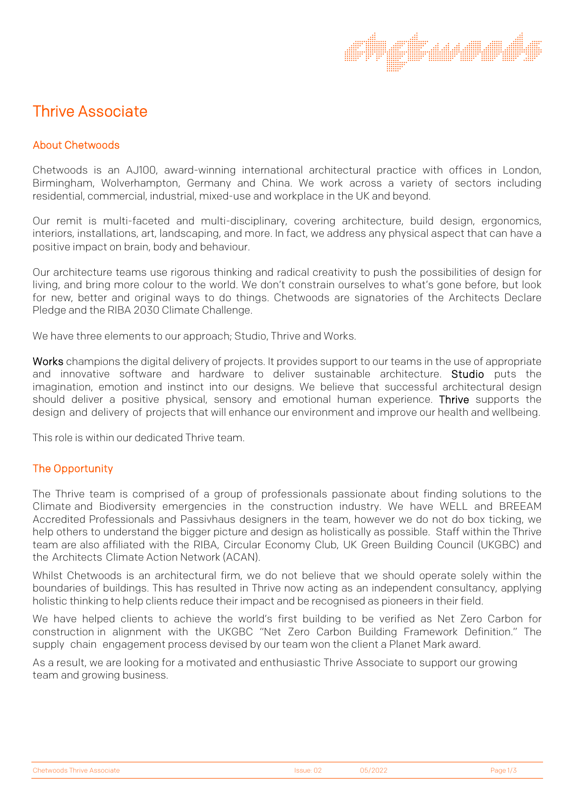# Thrive Associate

# About Chetwoods

Chetwoods is an AJ100, award-winning international architectural practice with offices in London, Birmingham, Wolverhampton, Germany and China. We work across a variety of sectors including residential, commercial, industrial, mixed-use and workplace in the UK and beyond.

Our remit is multi-faceted and multi-disciplinary, covering architecture, build design, ergonomics, interiors, installations, art, landscaping, and more. In fact, we address any physical aspect that can have a positive impact on brain, body and behaviour.

Our architecture teams use rigorous thinking and radical creativity to push the possibilities of design for living, and bring more colour to the world. We don't constrain ourselves to what's gone before, but look for new, better and original ways to do things. Chetwoods are signatories of the Architects Declare Pledge and the RIBA 2030 Climate Challenge.

We have three elements to our approach; Studio, Thrive and Works.

Works champions the digital delivery of projects. It provides support to our teams in the use of appropriate and innovative software and hardware to deliver sustainable architecture. Studio puts the imagination, emotion and instinct into our designs. We believe that successful architectural design should deliver a positive physical, sensory and emotional human experience. Thrive supports the design and delivery of projects that will enhance our environment and improve our health and wellbeing.

This role is within our dedicated Thrive team.

### The Opportunity

The Thrive team is comprised of a group of professionals passionate about finding solutions to the Climate and Biodiversity emergencies in the construction industry. We have WELL and BREEAM Accredited Professionals and Passivhaus designers in the team, however we do not do box ticking, we help others to understand the bigger picture and design as holistically as possible. Staff within the Thrive team are also affiliated with the RIBA, Circular Economy Club, UK Green Building Council (UKGBC) and the Architects Climate Action Network (ACAN).

Whilst Chetwoods is an architectural firm, we do not believe that we should operate solely within the boundaries of buildings. This has resulted in Thrive now acting as an independent consultancy, applying holistic thinking to help clients reduce their impact and be recognised as pioneers in their field.

We have helped clients to achieve the world's first building to be verified as Net Zero Carbon for construction in alignment with the UKGBC "Net Zero Carbon Building Framework Definition." The supply chain engagement process devised by our team won the client a Planet Mark award.

As a result, we are looking for a motivated and enthusiastic Thrive Associate to support our growing team and growing business.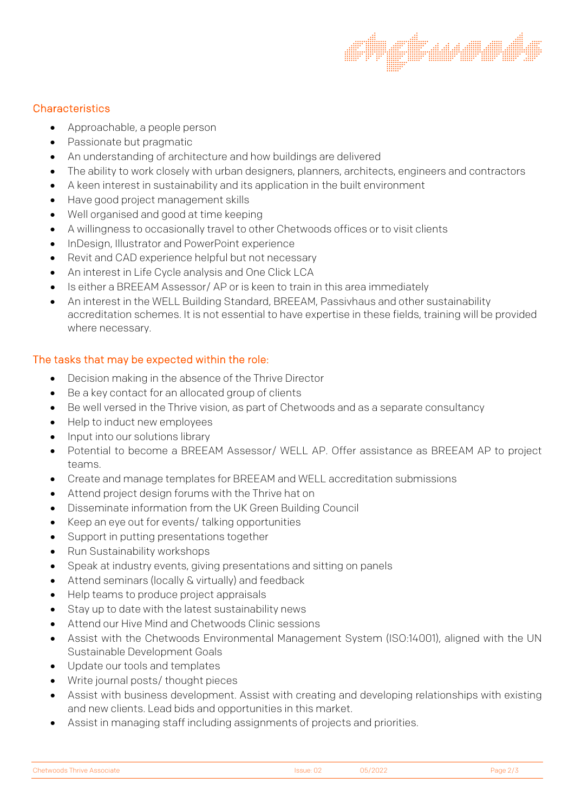### **Characteristics**

- Approachable, a people person
- Passionate but pragmatic
- An understanding of architecture and how buildings are delivered
- The ability to work closely with urban designers, planners, architects, engineers and contractors
- A keen interest in sustainability and its application in the built environment
- Have good project management skills
- Well organised and good at time keeping
- A willingness to occasionally travel to other Chetwoods offices or to visit clients
- InDesign, Illustrator and PowerPoint experience
- Revit and CAD experience helpful but not necessary
- An interest in Life Cycle analysis and One Click LCA
- Is either a BREEAM Assessor/ AP or is keen to train in this area immediately
- An interest in the WELL Building Standard, BREEAM, Passivhaus and other sustainability accreditation schemes. It is not essential to have expertise in these fields, training will be provided where necessary.

## The tasks that may be expected within the role:

- Decision making in the absence of the Thrive Director
- Be a key contact for an allocated group of clients
- Be well versed in the Thrive vision, as part of Chetwoods and as a separate consultancy
- Help to induct new employees
- Input into our solutions library
- Potential to become a BREEAM Assessor/ WELL AP. Offer assistance as BREEAM AP to project teams.
- Create and manage templates for BREEAM and WELL accreditation submissions
- Attend project design forums with the Thrive hat on
- Disseminate information from the UK Green Building Council
- Keep an eye out for events/ talking opportunities
- Support in putting presentations together
- Run Sustainability workshops
- Speak at industry events, giving presentations and sitting on panels
- Attend seminars (locally & virtually) and feedback
- Help teams to produce project appraisals
- Stay up to date with the latest sustainability news
- Attend our Hive Mind and Chetwoods Clinic sessions
- Assist with the Chetwoods Environmental Management System (ISO:14001), aligned with the UN Sustainable Development Goals
- Update our tools and templates
- Write journal posts/ thought pieces
- Assist with business development. Assist with creating and developing relationships with existing and new clients. Lead bids and opportunities in this market.
- Assist in managing staff including assignments of projects and priorities.